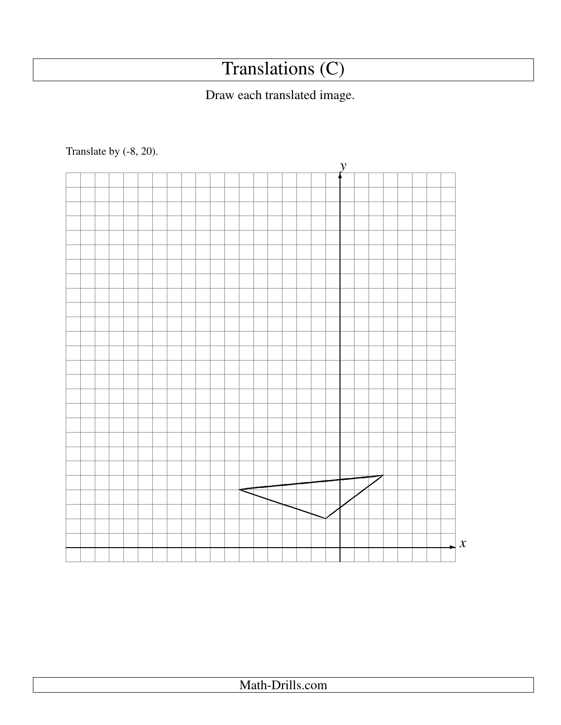## Translations (C)

## Draw each translated image.

Translate by (-8, 20).